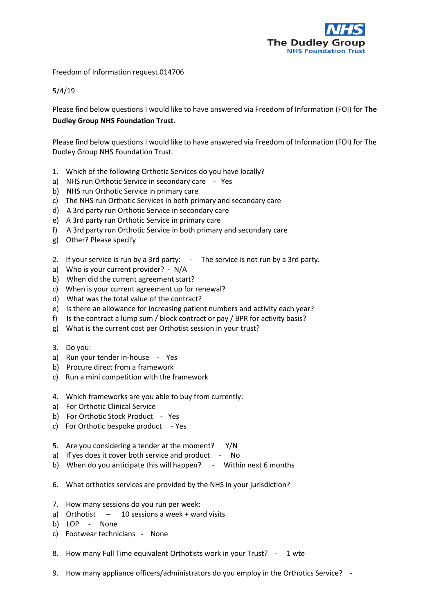

Freedom of Information request 014706

5/4/19

Please find below questions I would like to have answered via Freedom of Information (FOI) for **The Dudley Group NHS Foundation Trust.**

Please find below questions I would like to have answered via Freedom of Information (FOI) for The Dudley Group NHS Foundation Trust.

- 1. Which of the following Orthotic Services do you have locally?
- a) NHS run Orthotic Service in secondary care Yes
- b) NHS run Orthotic Service in primary care
- c) The NHS run Orthotic Services in both primary and secondary care
- d) A 3rd party run Orthotic Service in secondary care
- e) A 3rd party run Orthotic Service in primary care
- f) A 3rd party run Orthotic Service in both primary and secondary care
- g) Other? Please specify
- 2. If your service is run by a 3rd party: The service is not run by a 3rd party.
- a) Who is your current provider? N/A
- b) When did the current agreement start?
- c) When is your current agreement up for renewal?
- d) What was the total value of the contract?
- e) Is there an allowance for increasing patient numbers and activity each year?
- f) Is the contract a lump sum / block contract or pay / BPR for activity basis?
- g) What is the current cost per Orthotist session in your trust?
- 3. Do you:
- a) Run your tender in-house Yes
- b) Procure direct from a framework
- c) Run a mini competition with the framework
- 4. Which frameworks are you able to buy from currently:
- a) For Orthotic Clinical Service
- b) For Orthotic Stock Product Yes
- c) For Orthotic bespoke product Yes
- 5. Are you considering a tender at the moment? Y/N
- a) If yes does it cover both service and product No
- b) When do you anticipate this will happen? Within next 6 months
- 6. What orthotics services are provided by the NHS in your jurisdiction?
- 7. How many sessions do you run per week:
- a) Orthotist  $-10$  sessions a week + ward visits
- b) LOP None
- c) Footwear technicians None
- 8. How many Full Time equivalent Orthotists work in your Trust? 1 wte
- 9. How many appliance officers/administrators do you employ in the Orthotics Service? -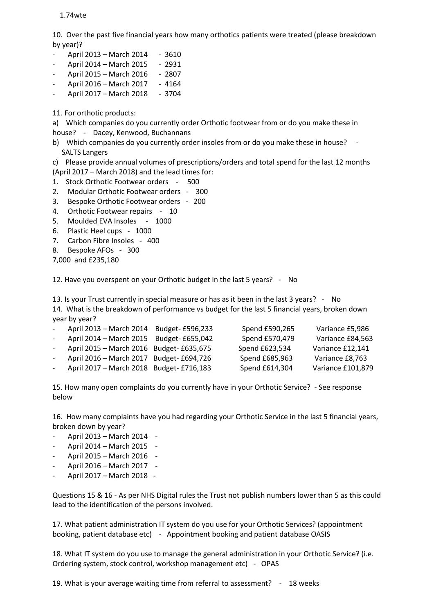## 1.74wte

10. Over the past five financial years how many orthotics patients were treated (please breakdown by year)?

- April 2013 March 2014 3610
- April 2014 March 2015 2931
- April 2015 March 2016 2807
- April 2016 March 2017 4164
- April 2017 March 2018 3704
- 11. For orthotic products:

a) Which companies do you currently order Orthotic footwear from or do you make these in house? - Dacey, Kenwood, Buchannans

- b) Which companies do you currently order insoles from or do you make these in house? -SALTS Langers
- c) Please provide annual volumes of prescriptions/orders and total spend for the last 12 months (April 2017 – March 2018) and the lead times for:
- 1. Stock Orthotic Footwear orders 500
- 2. Modular Orthotic Footwear orders 300
- 3. Bespoke Orthotic Footwear orders 200
- 4. Orthotic Footwear repairs 10
- 5. Moulded EVA Insoles 1000
- 6. Plastic Heel cups 1000
- 7. Carbon Fibre Insoles 400
- 8. Bespoke AFOs 300
- 7,000 and £235,180

12. Have you overspent on your Orthotic budget in the last 5 years? - No

13. Is your Trust currently in special measure or has as it been in the last 3 years? - No 14. What is the breakdown of performance vs budget for the last 5 financial years, broken down year by year?

| April 2013 - March 2014                  | Budget- £596,233 | Spend £590,265 | Variance £5,986   |
|------------------------------------------|------------------|----------------|-------------------|
| April 2014 - March 2015 Budget- £655,042 |                  | Spend £570,479 | Variance £84,563  |
| April 2015 - March 2016 Budget- £635,675 |                  | Spend £623,534 | Variance £12,141  |
| April 2016 - March 2017 Budget- £694,726 |                  | Spend £685,963 | Variance £8,763   |
| April 2017 - March 2018 Budget- £716,183 |                  | Spend £614,304 | Variance £101,879 |
|                                          |                  |                |                   |

15. How many open complaints do you currently have in your Orthotic Service? - See response below

16. How many complaints have you had regarding your Orthotic Service in the last 5 financial years, broken down by year?

- April 2013 March 2014 -
- April 2014 March 2015 -
- April 2015 March 2016 -
- April 2016 March 2017 -
- April 2017 March 2018 -

Questions 15 & 16 - As per NHS Digital rules the Trust not publish numbers lower than 5 as this could lead to the identification of the persons involved.

17. What patient administration IT system do you use for your Orthotic Services? (appointment booking, patient database etc) - Appointment booking and patient database OASIS

18. What IT system do you use to manage the general administration in your Orthotic Service? (i.e. Ordering system, stock control, workshop management etc) - OPAS

19. What is your average waiting time from referral to assessment? - 18 weeks